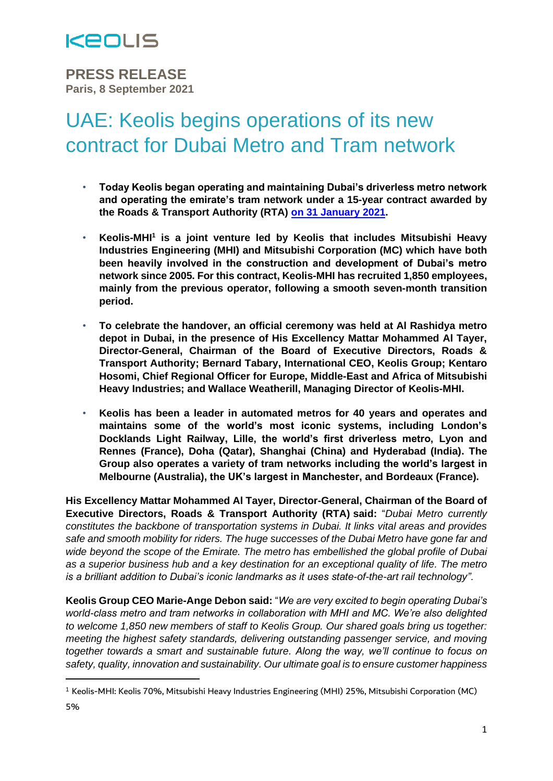

**PRESS RELEASE Paris, 8 September 2021**

# UAE: Keolis begins operations of its new contract for Dubai Metro and Tram network

- **Today Keolis began operating and maintaining Dubai's driverless metro network and operating the emirate's tram network under a 15-year contract awarded by the Roads & Transport Authority (RTA) on 31 [January](https://www.keolis.com/sites/default/files/atoms/files/uae_-_keolis_wins_15-year_contract_to_operate_dubais_world_class_driverless_metro_and_tram_networks.pdf) 2021.**
- **Keolis-MHI<sup>1</sup> is a joint venture led by Keolis that includes Mitsubishi Heavy Industries Engineering (MHI) and Mitsubishi Corporation (MC) which have both been heavily involved in the construction and development of Dubai's metro network since 2005. For this contract, Keolis-MHI has recruited 1,850 employees, mainly from the previous operator, following a smooth seven-month transition period.**
- **To celebrate the handover, an official ceremony was held at Al Rashidya metro depot in Dubai, in the presence of His Excellency Mattar Mohammed Al Tayer, Director-General, Chairman of the Board of Executive Directors, Roads & Transport Authority; Bernard Tabary, International CEO, Keolis Group; Kentaro Hosomi, Chief Regional Officer for Europe, Middle-East and Africa of Mitsubishi Heavy Industries; and Wallace Weatherill, Managing Director of Keolis-MHI.**
- **Keolis has been a leader in automated metros for 40 years and operates and maintains some of the world's most iconic systems, including London's Docklands Light Railway, Lille, the world's first driverless metro, Lyon and Rennes (France), Doha (Qatar), Shanghai (China) and Hyderabad (India). The Group also operates a variety of tram networks including the world's largest in Melbourne (Australia), the UK's largest in Manchester, and Bordeaux (France).**

**His Excellency Mattar Mohammed Al Tayer, Director-General, Chairman of the Board of Executive Directors, Roads & Transport Authority (RTA) said:** "*Dubai Metro currently constitutes the backbone of transportation systems in Dubai. It links vital areas and provides safe and smooth mobility for riders. The huge successes of the Dubai Metro have gone far and wide beyond the scope of the Emirate. The metro has embellished the global profile of Dubai as a superior business hub and a key destination for an exceptional quality of life. The metro is a brilliant addition to Dubai's iconic landmarks as it uses state-of-the-art rail technology".*

**Keolis Group CEO Marie-Ange Debon said:** "*We are very excited to begin operating Dubai's world-class metro and tram networks in collaboration with MHI and MC. We're also delighted to welcome 1,850 new members of staff to Keolis Group. Our shared goals bring us together: meeting the highest safety standards, delivering outstanding passenger service, and moving together towards a smart and sustainable future. Along the way, we'll continue to focus on safety, quality, innovation and sustainability. Our ultimate goal is to ensure customer happiness* 

<sup>1</sup> Keolis-MHI: Keolis 70%, Mitsubishi Heavy Industries Engineering (MHI) 25%, Mitsubishi Corporation (MC)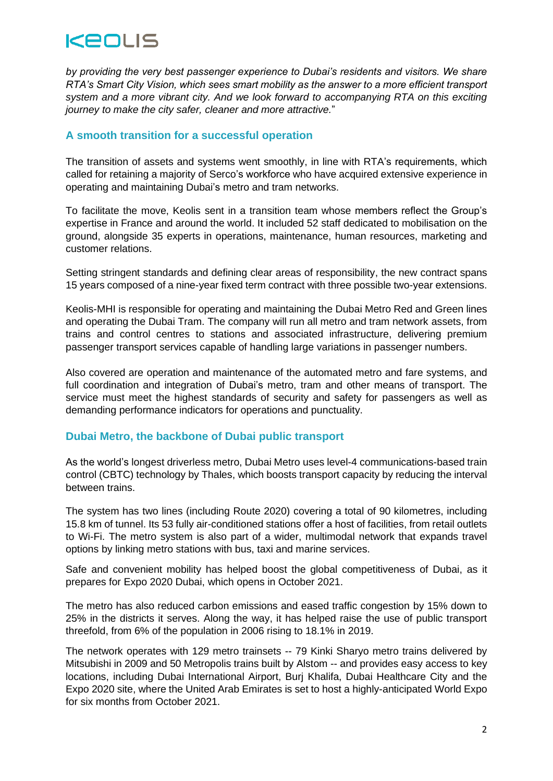

*by providing the very best passenger experience to Dubai's residents and visitors. We share RTA's Smart City Vision, which sees smart mobility as the answer to a more efficient transport system and a more vibrant city. And we look forward to accompanying RTA on this exciting journey to make the city safer, cleaner and more attractive.*"

### **A smooth transition for a successful operation**

The transition of assets and systems went smoothly, in line with RTA's requirements, which called for retaining a majority of Serco's workforce who have acquired extensive experience in operating and maintaining Dubai's metro and tram networks.

To facilitate the move, Keolis sent in a transition team whose members reflect the Group's expertise in France and around the world. It included 52 staff dedicated to mobilisation on the ground, alongside 35 experts in operations, maintenance, human resources, marketing and customer relations.

Setting stringent standards and defining clear areas of responsibility, the new contract spans 15 years composed of a nine-year fixed term contract with three possible two-year extensions.

Keolis-MHI is responsible for operating and maintaining the Dubai Metro Red and Green lines and operating the Dubai Tram. The company will run all metro and tram network assets, from trains and control centres to stations and associated infrastructure, delivering premium passenger transport services capable of handling large variations in passenger numbers.

Also covered are operation and maintenance of the automated metro and fare systems, and full coordination and integration of Dubai's metro, tram and other means of transport. The service must meet the highest standards of security and safety for passengers as well as demanding performance indicators for operations and punctuality.

### **Dubai Metro, the backbone of Dubai public transport**

As the world's longest driverless metro, Dubai Metro uses level-4 communications-based train control (CBTC) technology by Thales, which boosts transport capacity by reducing the interval between trains.

The system has two lines (including Route 2020) covering a total of 90 kilometres, including 15.8 km of tunnel. Its 53 fully air-conditioned stations offer a host of facilities, from retail outlets to Wi-Fi. The metro system is also part of a wider, multimodal network that expands travel options by linking metro stations with bus, taxi and marine services.

Safe and convenient mobility has helped boost the global competitiveness of Dubai, as it prepares for Expo 2020 Dubai, which opens in October 2021.

The metro has also reduced carbon emissions and eased traffic congestion by 15% down to 25% in the districts it serves. Along the way, it has helped raise the use of public transport threefold, from 6% of the population in 2006 rising to 18.1% in 2019.

The network operates with 129 metro trainsets -- 79 Kinki Sharyo metro trains delivered by Mitsubishi in 2009 and 50 Metropolis trains built by Alstom -- and provides easy access to key locations, including Dubai International Airport, Burj Khalifa, Dubai Healthcare City and the Expo 2020 site, where the United Arab Emirates is set to host a highly-anticipated World Expo for six months from October 2021.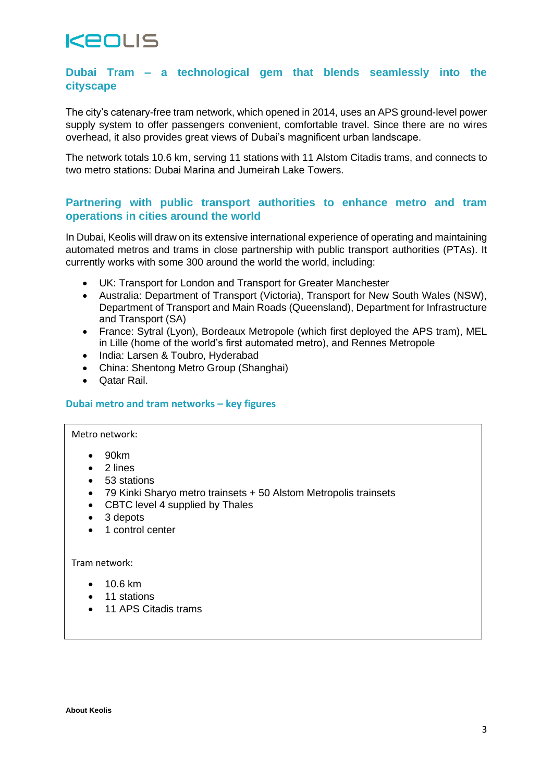## **KEOLIS**

## **Dubai Tram – a technological gem that blends seamlessly into the cityscape**

The city's catenary-free tram network, which opened in 2014, uses an APS ground-level power supply system to offer passengers convenient, comfortable travel. Since there are no wires overhead, it also provides great views of Dubai's magnificent urban landscape.

The network totals 10.6 km, serving 11 stations with 11 Alstom Citadis trams, and connects to two metro stations: Dubai Marina and Jumeirah Lake Towers.

## **Partnering with public transport authorities to enhance metro and tram operations in cities around the world**

In Dubai, Keolis will draw on its extensive international experience of operating and maintaining automated metros and trams in close partnership with public transport authorities (PTAs). It currently works with some 300 around the world the world, including:

- UK: Transport for London and Transport for Greater Manchester
- Australia: Department of Transport (Victoria), Transport for New South Wales (NSW), Department of Transport and Main Roads (Queensland), Department for Infrastructure and Transport (SA)
- France: Sytral (Lyon), Bordeaux Metropole (which first deployed the APS tram), MEL in Lille (home of the world's first automated metro), and Rennes Metropole
- India: Larsen & Toubro, Hyderabad
- China: Shentong Metro Group (Shanghai)
- Qatar Rail.

#### **Dubai metro and tram networks – key figures**

#### Metro network:

- 90km
- 2 lines
- 53 stations
- 79 Kinki Sharyo metro trainsets + 50 Alstom Metropolis trainsets
- CBTC level 4 supplied by Thales
- 3 depots
- 1 control center

#### Tram network:

- 10.6 km
- 11 stations
- 11 APS Citadis trams